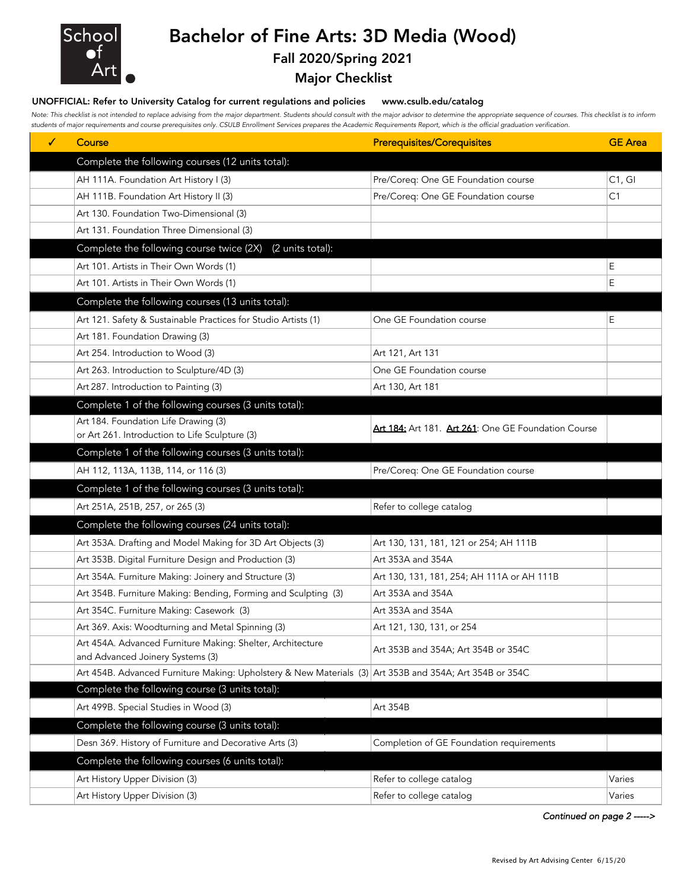

## Bachelor of Fine Arts: 3D Media (Wood)

## Fall 2020/Spring 2021

Major Checklist

## UNOFFICIAL: Refer to University Catalog for current regulations and policies www.csulb.edu/catalog

*Note: This checklist is not intended to replace advising from the major department. Students should consult with the major advisor to determine the appropriate sequence of courses. This checklist is to inform students of major requirements and course prerequisites only. CSULB Enrollment Services prepares the Academic Requirements Report, which is the official graduation verification.*

| ✓ | Course                                                                                                  | <b>Prerequisites/Corequisites</b>                   | <b>GE</b> Area |
|---|---------------------------------------------------------------------------------------------------------|-----------------------------------------------------|----------------|
|   | Complete the following courses (12 units total):                                                        |                                                     |                |
|   | AH 111A. Foundation Art History I (3)                                                                   | Pre/Coreq: One GE Foundation course                 | C1, G1         |
|   | AH 111B. Foundation Art History II (3)                                                                  | Pre/Coreq: One GE Foundation course                 | C1             |
|   | Art 130. Foundation Two-Dimensional (3)                                                                 |                                                     |                |
|   | Art 131. Foundation Three Dimensional (3)                                                               |                                                     |                |
|   | Complete the following course twice (2X)<br>(2 units total):                                            |                                                     |                |
|   | Art 101. Artists in Their Own Words (1)                                                                 |                                                     | E              |
|   | Art 101. Artists in Their Own Words (1)                                                                 |                                                     | Е              |
|   | Complete the following courses (13 units total):                                                        |                                                     |                |
|   | Art 121. Safety & Sustainable Practices for Studio Artists (1)                                          | One GE Foundation course                            | Е              |
|   | Art 181. Foundation Drawing (3)                                                                         |                                                     |                |
|   | Art 254. Introduction to Wood (3)                                                                       | Art 121, Art 131                                    |                |
|   | Art 263. Introduction to Sculpture/4D (3)                                                               | One GE Foundation course                            |                |
|   | Art 287. Introduction to Painting (3)                                                                   | Art 130, Art 181                                    |                |
|   | Complete 1 of the following courses (3 units total):                                                    |                                                     |                |
|   | Art 184. Foundation Life Drawing (3)                                                                    | Art 184: Art 181. Art 261: One GE Foundation Course |                |
|   | or Art 261. Introduction to Life Sculpture (3)                                                          |                                                     |                |
|   | Complete 1 of the following courses (3 units total):                                                    |                                                     |                |
|   | AH 112, 113A, 113B, 114, or 116 (3)                                                                     | Pre/Coreq: One GE Foundation course                 |                |
|   | Complete 1 of the following courses (3 units total):                                                    |                                                     |                |
|   | Art 251A, 251B, 257, or 265 (3)                                                                         | Refer to college catalog                            |                |
|   | Complete the following courses (24 units total):                                                        |                                                     |                |
|   | Art 353A. Drafting and Model Making for 3D Art Objects (3)                                              | Art 130, 131, 181, 121 or 254; AH 111B              |                |
|   | Art 353B. Digital Furniture Design and Production (3)                                                   | Art 353A and 354A                                   |                |
|   | Art 354A. Furniture Making: Joinery and Structure (3)                                                   | Art 130, 131, 181, 254; AH 111A or AH 111B          |                |
|   | Art 354B. Furniture Making: Bending, Forming and Sculpting (3)                                          | Art 353A and 354A                                   |                |
|   | Art 354C. Furniture Making: Casework (3)                                                                | Art 353A and 354A                                   |                |
|   | Art 369. Axis: Woodturning and Metal Spinning (3)                                                       | Art 121, 130, 131, or 254                           |                |
|   | Art 454A. Advanced Furniture Making: Shelter, Architecture<br>and Advanced Joinery Systems (3)          | Art 353B and 354A; Art 354B or 354C                 |                |
|   | Art 454B. Advanced Furniture Making: Upholstery & New Materials (3) Art 353B and 354A; Art 354B or 354C |                                                     |                |
|   | Complete the following course (3 units total):                                                          |                                                     |                |
|   | Art 499B. Special Studies in Wood (3)                                                                   | Art 354B                                            |                |
|   | Complete the following course (3 units total):                                                          |                                                     |                |
|   | Desn 369. History of Furniture and Decorative Arts (3)                                                  | Completion of GE Foundation requirements            |                |
|   | Complete the following courses (6 units total):                                                         |                                                     |                |
|   | Art History Upper Division (3)                                                                          | Refer to college catalog                            | Varies         |
|   | Art History Upper Division (3)                                                                          | Refer to college catalog                            | Varies         |

*Continued on page 2 ----->*